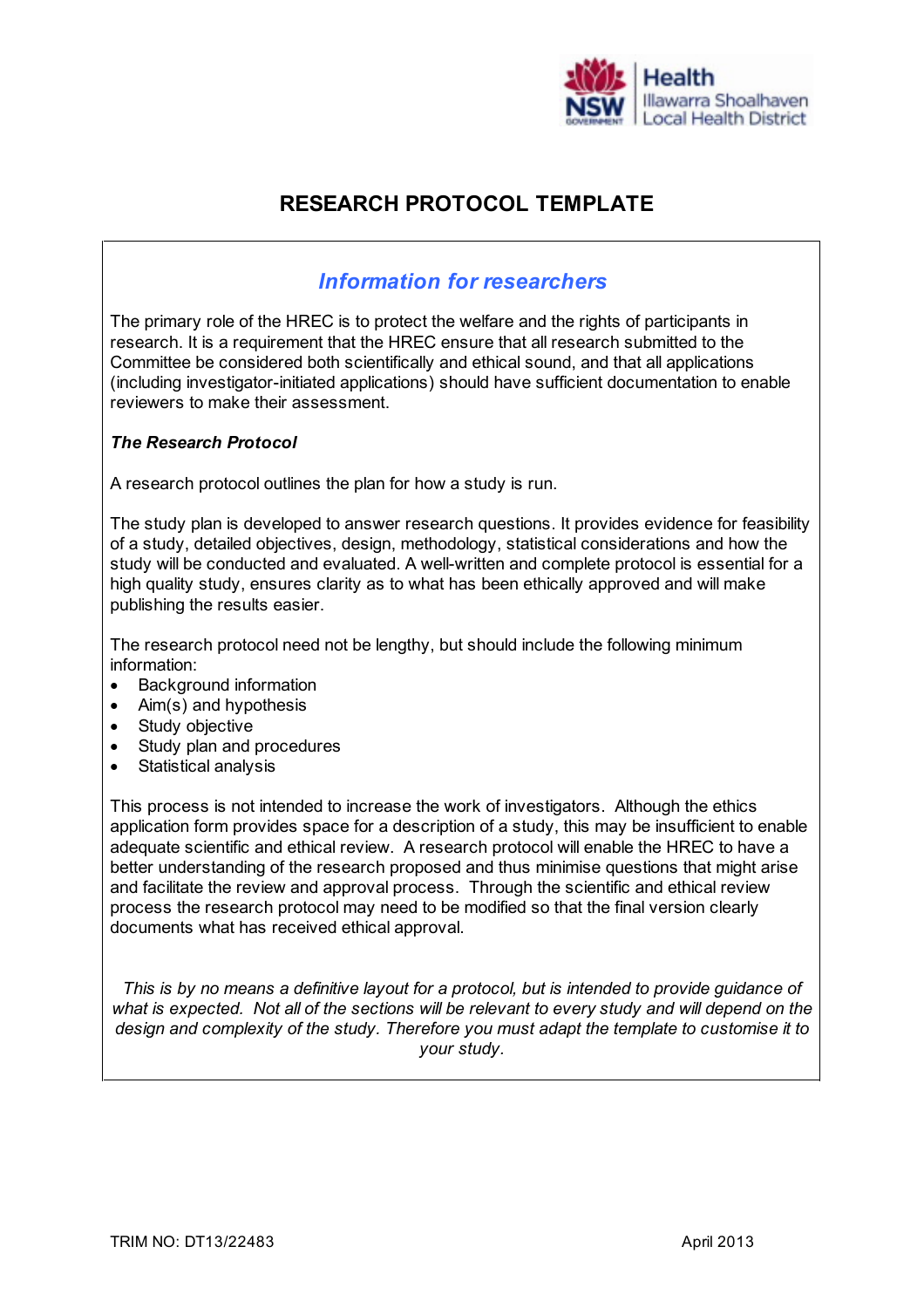

# **RESEARCH PROTOCOL TEMPLATE**

## *Information for researchers*

The primary role of the HREC is to protect the welfare and the rights of participants in research. It is a requirement that the HREC ensure that all research submitted to the Committee be considered both scientifically and ethical sound, and that all applications (including investigator-initiated applications) should have sufficient documentation to enable reviewers to make their assessment.

## *The Research Protocol*

A research protocol outlines the plan for how a study is run.

The study plan is developed to answer research questions. It provides evidence for feasibility of a study, detailed objectives, design, methodology, statistical considerations and how the study will be conducted and evaluated. A well-written and complete protocol is essential for a high quality study, ensures clarity as to what has been ethically approved and will make publishing the results easier.

The research protocol need not be lengthy, but should include the following minimum information:

- Background information
- $\bullet$  Aim(s) and hypothesis
- Study objective
- Study plan and procedures
- Statistical analysis

This process is not intended to increase the work of investigators. Although the ethics application form provides space for a description of a study, this may be insufficient to enable adequate scientific and ethical review. A research protocol will enable the HREC to have a better understanding of the research proposed and thus minimise questions that might arise and facilitate the review and approval process. Through the scientific and ethical review process the research protocol may need to be modified so that the final version clearly documents what has received ethical approval.

*This is by no means a definitive layout for a protocol, but is intended to provide guidance of* what is expected. Not all of the sections will be relevant to every study and will depend on the *design and complexity of the study. Therefore you must adapt the template to customise it to your study.*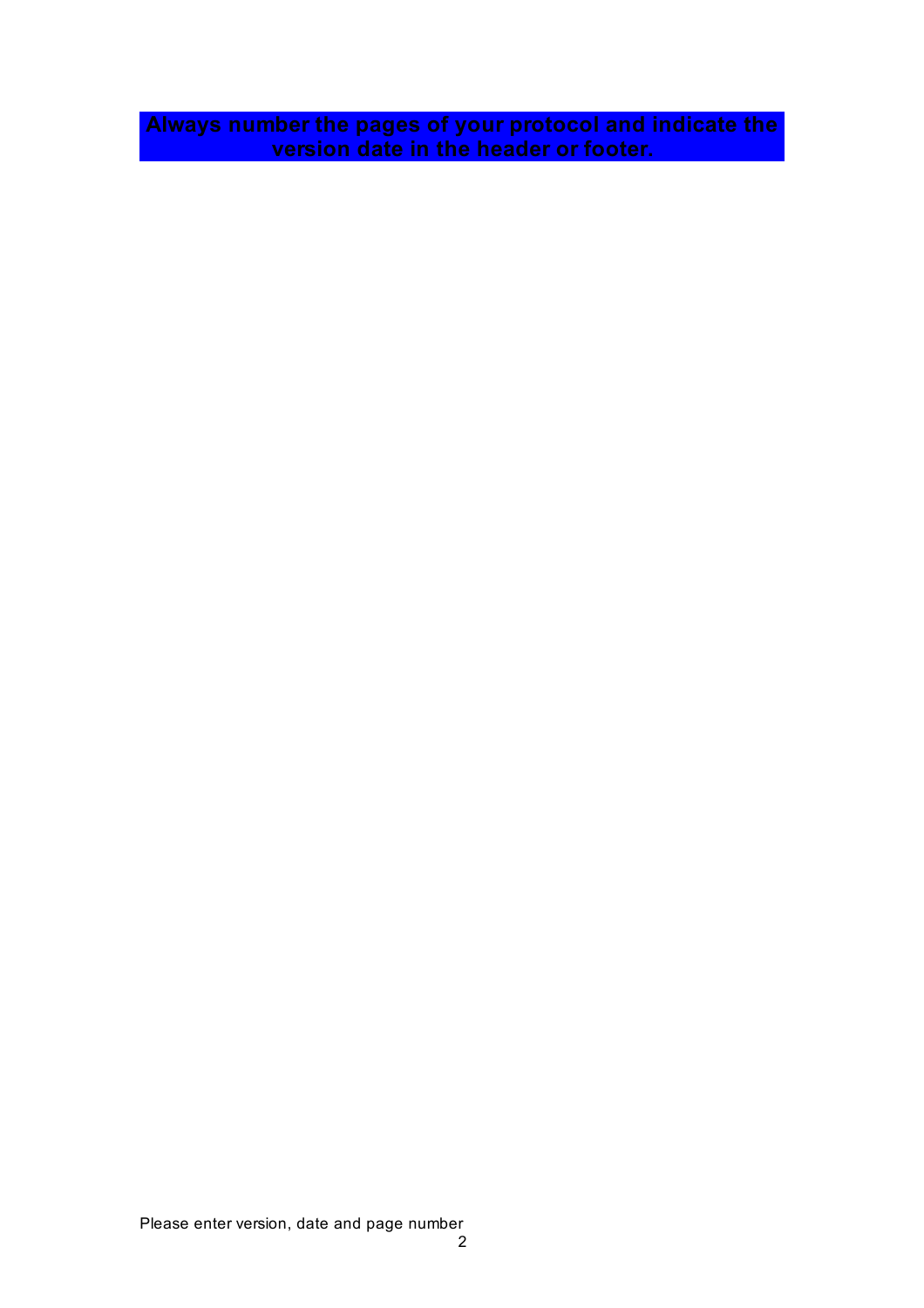**Always number the pages of your protocol and indicate the version date in the header or footer.**

Please enter version, date and page number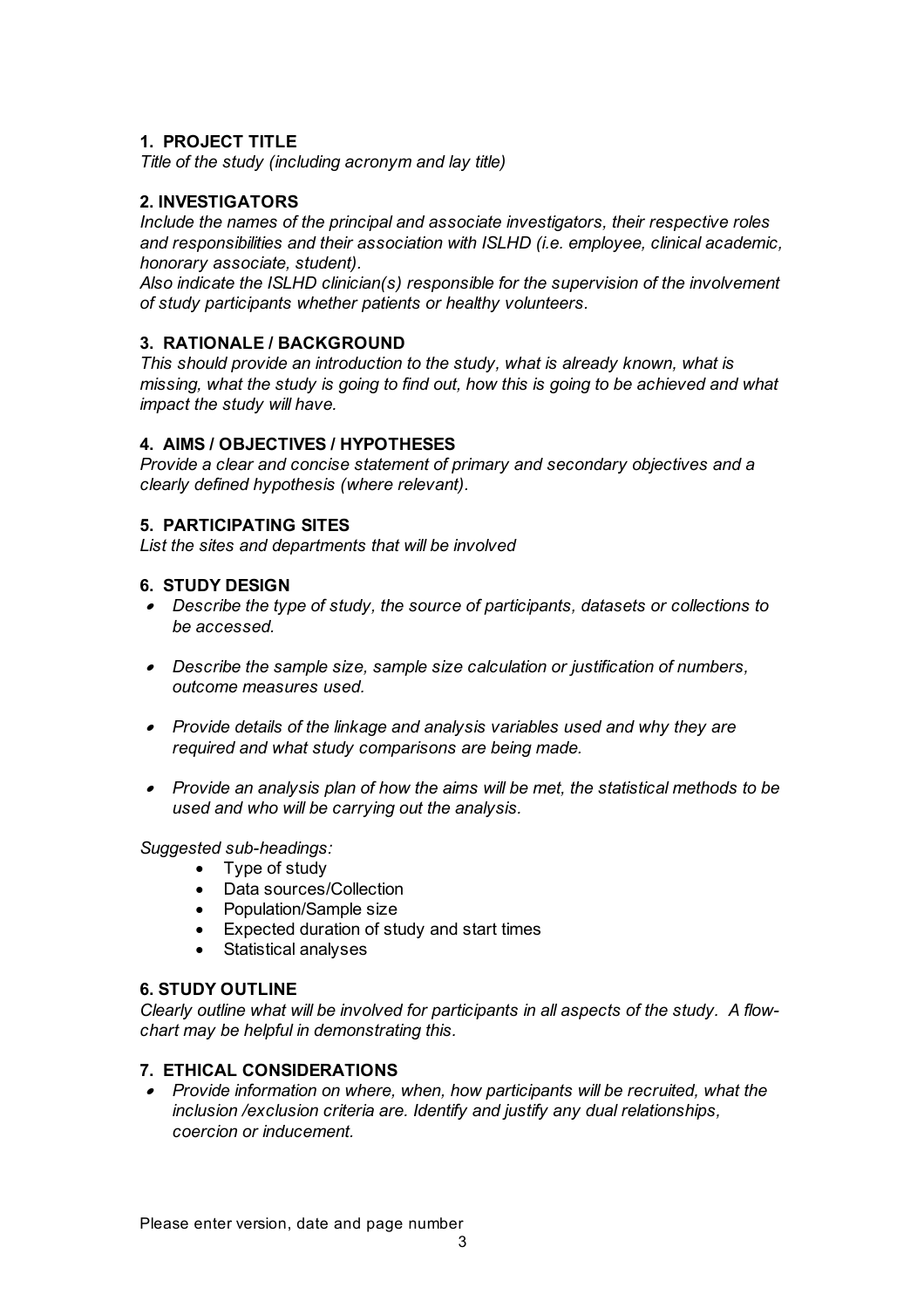## **1. PROJECT TITLE**

*Title of the study (including acronym and lay title)*

## **2. INVESTIGATORS**

*Include the names of the principal and associate investigators, their respective roles and responsibilities and their association with ISLHD (i.e. employee, clinical academic, honorary associate, student).*

*Also indicate the ISLHD clinician(s) responsible for the supervision of the involvement of study participants whether patients or healthy volunteers.*

## **3. RATIONALE / BACKGROUND**

*This should provide an introduction to the study, what is already known, what is missing, what the study is going to find out, how this is going to be achieved and what impact the study will have.*

## **4. AIMS / OBJECTIVES / HYPOTHESES**

*Provide a clear and concise statement of primary and secondary objectives and a clearly defined hypothesis (where relevant).*

## **5. PARTICIPATING SITES**

*List the sites and departments that will be involved*

## **6. STUDY DESIGN**

- *Describe the type of study, the source of participants, datasets or collections to be accessed.*
- *Describe the sample size, sample size calculation or justification of numbers, outcome measures used.*
- *Provide details of the linkage and analysis variables used and why they are required and what study comparisons are being made.*
- *Provide an analysis plan of how the aims will be met, the statistical methods to be used and who will be carrying out the analysis.*

*Suggested sub-headings:*

- Type of study
- Data sources/Collection
- Population/Sample size
- Expected duration of study and start times
- Statistical analyses

## **6. STUDY OUTLINE**

*Clearly outline what will be involved for participants in all aspects of the study. A flowchart may be helpful in demonstrating this.*

## **7. ETHICAL CONSIDERATIONS**

 *Provide information on where, when, how participants will be recruited, what the inclusion /exclusion criteria are. Identify and justify any dual relationships, coercion or inducement.*

Please enter version, date and page number